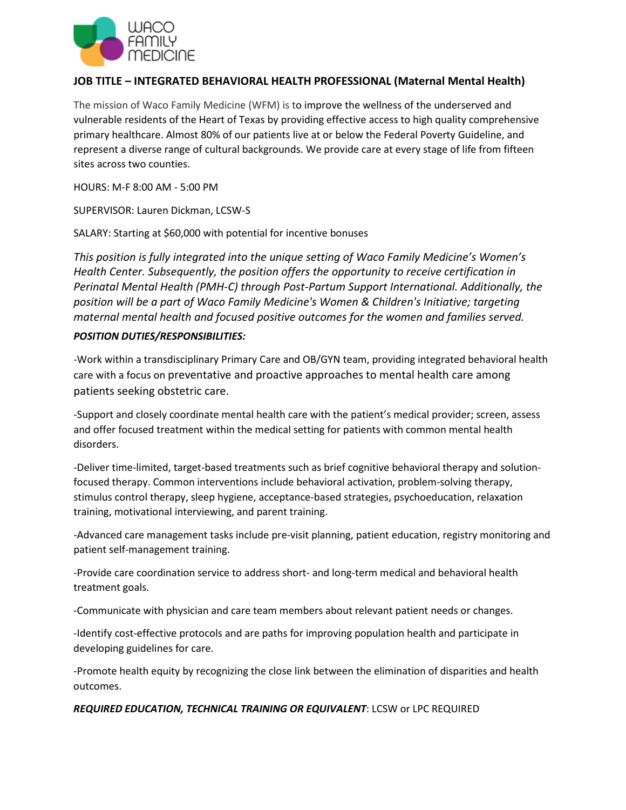

## **JOB TITLE – INTEGRATED BEHAVIORAL HEALTH PROFESSIONAL (Maternal Mental Health)**

The mission of Waco Family Medicine (WFM) is to improve the wellness of the underserved and vulnerable residents of the Heart of Texas by providing effective access to high quality comprehensive primary healthcare. Almost 80% of our patients live at or below the Federal Poverty Guideline, and represent a diverse range of cultural backgrounds. We provide care at every stage of life from fifteen sites across two counties.

HOURS: M-F 8:00 AM - 5:00 PM

SUPERVISOR: Lauren Dickman, LCSW-S

SALARY: Starting at \$60,000 with potential for incentive bonuses

*This position is fully integrated into the unique setting of Waco Family Medicine's Women's Health Center. Subsequently, the position offers the opportunity to receive certification in Perinatal Mental Health (PMH-C) through Post-Partum Support International. Additionally, the position will be a part of Waco Family Medicine's Women & Children's Initiative; targeting maternal mental health and focused positive outcomes for the women and families served.*

## *POSITION DUTIES/RESPONSIBILITIES:*

-Work within a transdisciplinary Primary Care and OB/GYN team, providing integrated behavioral health care with a focus on preventative and proactive approaches to mental health care among patients seeking obstetric care.

-Support and closely coordinate mental health care with the patient's medical provider; screen, assess and offer focused treatment within the medical setting for patients with common mental health disorders.

-Deliver time-limited, target-based treatments such as brief cognitive behavioral therapy and solutionfocused therapy. Common interventions include behavioral activation, problem-solving therapy, stimulus control therapy, sleep hygiene, acceptance-based strategies, psychoeducation, relaxation training, motivational interviewing, and parent training.

-Advanced care management tasks include pre-visit planning, patient education, registry monitoring and patient self-management training.

-Provide care coordination service to address short- and long-term medical and behavioral health treatment goals.

-Communicate with physician and care team members about relevant patient needs or changes.

-Identify cost-effective protocols and are paths for improving population health and participate in developing guidelines for care.

-Promote health equity by recognizing the close link between the elimination of disparities and health outcomes.

*REQUIRED EDUCATION, TECHNICAL TRAINING OR EQUIVALENT*: LCSW or LPC REQUIRED